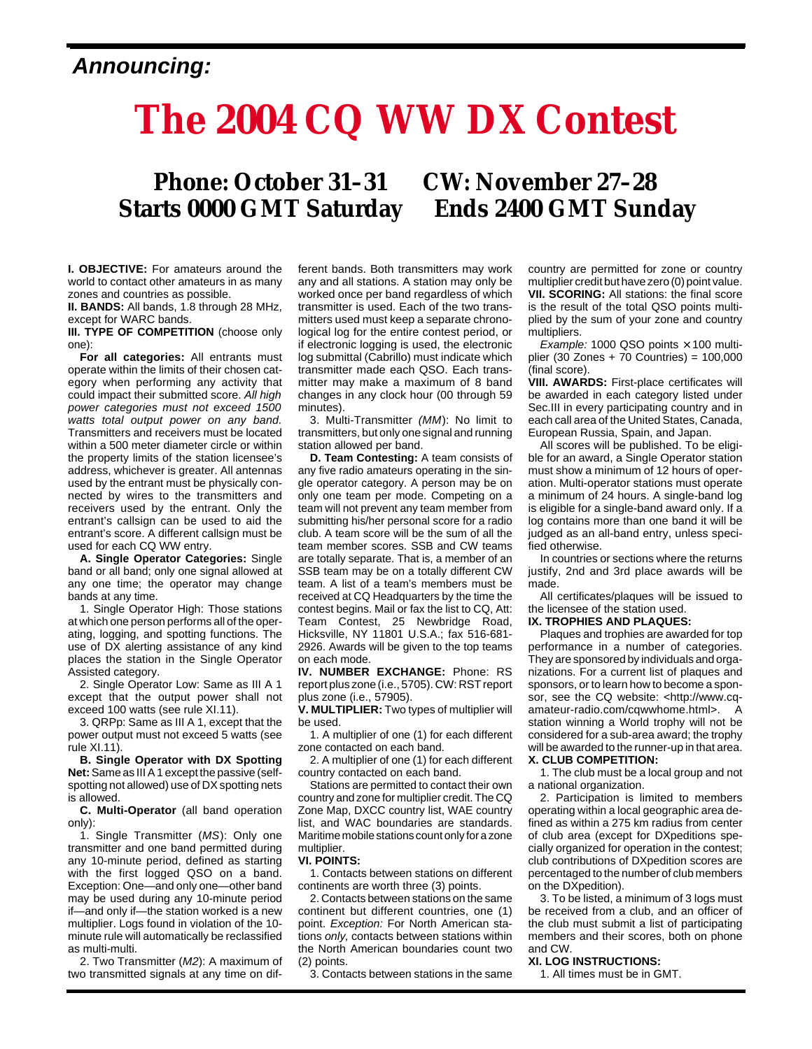### **Announcing:**

# **The 2004 CQ WW DX Contest**

## **Phone: October 31–31 CW: November 27–28 Starts 0000 GMT Saturday Ends 2400 GMT Sunday**

**I. OBJECTIVE:** For amateurs around the world to contact other amateurs in as many zones and countries as possible.

**II. BANDS:** All bands, 1.8 through 28 MHz, except for WARC bands.

**III. TYPE OF COMPETITION** (choose only one):

**For all categories:** All entrants must operate within the limits of their chosen category when performing any activity that could impact their submitted score. All high power categories must not exceed 1500 watts total output power on any band. Transmitters and receivers must be located within a 500 meter diameter circle or within the property limits of the station licensee's address, whichever is greater. All antennas used by the entrant must be physically connected by wires to the transmitters and receivers used by the entrant. Only the entrant's callsign can be used to aid the entrant's score. A different callsign must be used for each CQ WW entry.

**A. Single Operator Categories:** Single band or all band; only one signal allowed at any one time; the operator may change bands at any time.

1. Single Operator High: Those stations at which one person performs all of the operating, logging, and spotting functions. The use of DX alerting assistance of any kind places the station in the Single Operator Assisted category.

2. Single Operator Low: Same as III A 1 except that the output power shall not exceed 100 watts (see rule XI.11).

3. QRPp: Same as III A 1, except that the power output must not exceed 5 watts (see rule XI.11).

**B. Single Operator with DX Spotting Net:**Same as III A 1 except the passive (selfspotting not allowed) use of DX spotting nets is allowed.

**C. Multi-Operator** (all band operation only):

1. Single Transmitter (MS): Only one transmitter and one band permitted during any 10-minute period, defined as starting with the first logged QSO on a band. Exception: One—and only one—other band may be used during any 10-minute period if—and only if—the station worked is a new multiplier. Logs found in violation of the 10 minute rule will automatically be reclassified as multi-multi.

2. Two Transmitter (M2): A maximum of two transmitted signals at any time on dif-

ferent bands. Both transmitters may work any and all stations. A station may only be worked once per band regardless of which transmitter is used. Each of the two transmitters used must keep a separate chronological log for the entire contest period, or if electronic logging is used, the electronic log submittal (Cabrillo) must indicate which transmitter made each QSO. Each transmitter may make a maximum of 8 band changes in any clock hour (00 through 59 minutes).

3. Multi-Transmitter (MM): No limit to transmitters, but only one signal and running station allowed per band.

**D. Team Contesting:** A team consists of any five radio amateurs operating in the single operator category. A person may be on only one team per mode. Competing on a team will not prevent any team member from submitting his/her personal score for a radio club. A team score will be the sum of all the team member scores. SSB and CW teams are totally separate. That is, a member of an SSB team may be on a totally different CW team. A list of a team's members must be received at CQ Headquarters by the time the contest begins. Mail or fax the list to CQ, Att: Team Contest, 25 Newbridge Road, Hicksville, NY 11801 U.S.A.; fax 516-681- 2926. Awards will be given to the top teams on each mode.

**IV. NUMBER EXCHANGE:** Phone: RS report plus zone (i.e., 5705). CW: RST report plus zone (i.e., 57905).

**V. MULTIPLIER:** Two types of multiplier will be used.

1. A multiplier of one (1) for each different zone contacted on each band.

2. A multiplier of one (1) for each different country contacted on each band.

Stations are permitted to contact their own country and zone for multiplier credit. The CQ Zone Map, DXCC country list, WAE country list, and WAC boundaries are standards. Maritime mobile stations count only for a zone multiplier.

#### **VI. POINTS:**

1. Contacts between stations on different continents are worth three (3) points.

2. Contacts between stations on the same continent but different countries, one (1) point. Exception: For North American stations only, contacts between stations within the North American boundaries count two (2) points.

3. Contacts between stations in the same

country are permitted for zone or country multiplier credit but have zero (0) point value. **VII. SCORING:** All stations: the final score is the result of the total QSO points multiplied by the sum of your zone and country multipliers.

Example: 1000 QSO points  $\times$  100 multiplier (30 Zones + 70 Countries) = 100,000 (final score).

**VIII. AWARDS:** First-place certificates will be awarded in each category listed under Sec.III in every participating country and in each call area of the United States, Canada, European Russia, Spain, and Japan.

All scores will be published. To be eligible for an award, a Single Operator station must show a minimum of 12 hours of operation. Multi-operator stations must operate a minimum of 24 hours. A single-band log is eligible for a single-band award only. If a log contains more than one band it will be judged as an all-band entry, unless specified otherwise.

In countries or sections where the returns justify, 2nd and 3rd place awards will be made.

All certificates/plaques will be issued to the licensee of the station used.

#### **IX. TROPHIES AND PLAQUES:**

Plaques and trophies are awarded for top performance in a number of categories. They are sponsored by individuals and organizations. For a current list of plaques and sponsors, or to learn how to become a sponsor, see the CQ website: <http://www.cqamateur-radio.com/cqwwhome.html>. station winning a World trophy will not be considered for a sub-area award; the trophy will be awarded to the runner-up in that area. **X. CLUB COMPETITION:**

1. The club must be a local group and not a national organization.

2. Participation is limited to members operating within a local geographic area defined as within a 275 km radius from center of club area (except for DXpeditions specially organized for operation in the contest; club contributions of DXpedition scores are percentaged to the number of club members on the DXpedition).

3. To be listed, a minimum of 3 logs must be received from a club, and an officer of the club must submit a list of participating members and their scores, both on phone and CW.

#### **XI. LOG INSTRUCTIONS:**

1. All times must be in GMT.